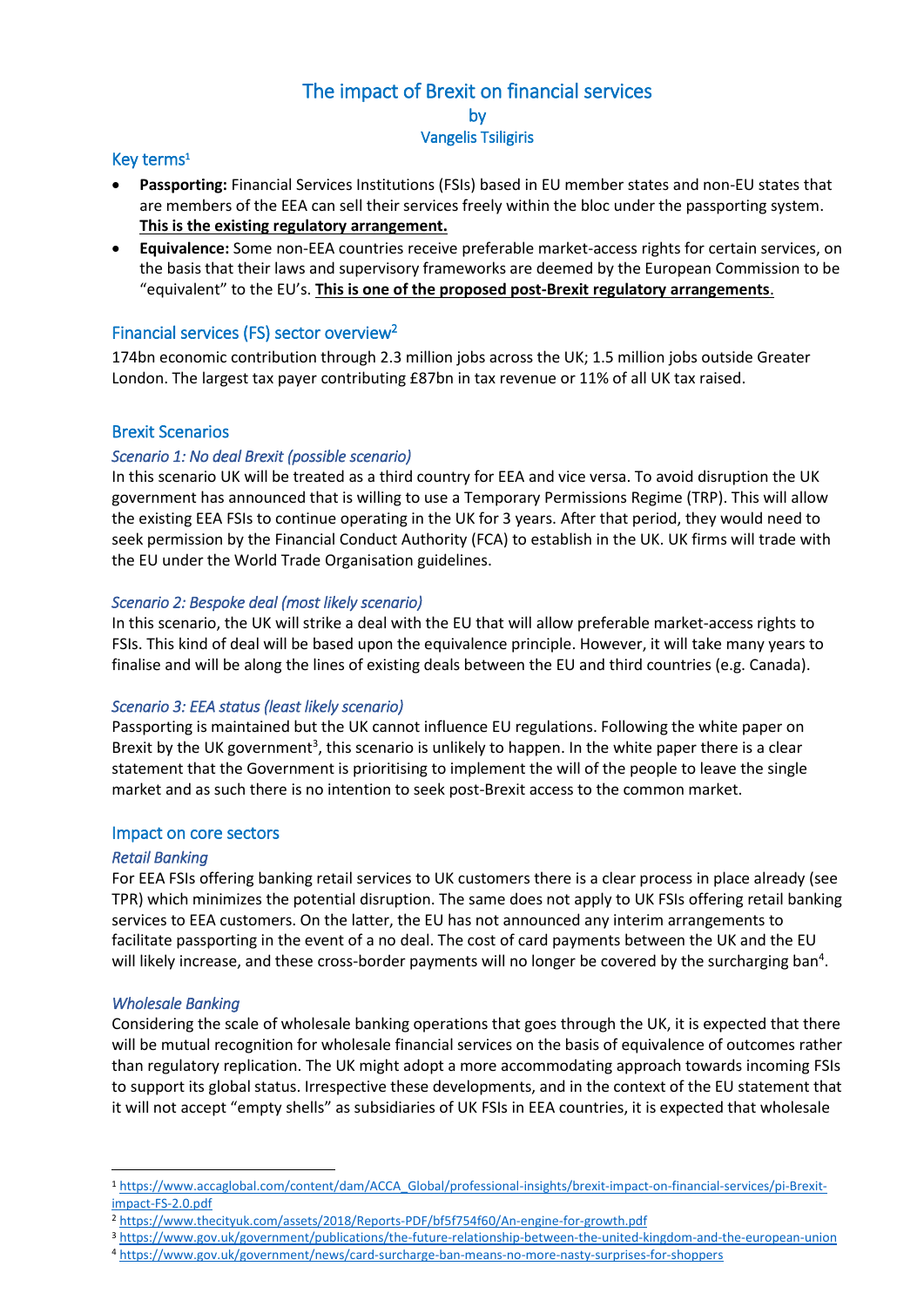# The impact of Brexit on financial services by Vangelis Tsiligiris

## Key terms<sup>1</sup>

- **Passporting:** Financial Services Institutions (FSIs) based in EU member states and non-EU states that are members of the EEA can sell their services freely within the bloc under the passporting system. **This is the existing regulatory arrangement.**
- **Equivalence:** Some non-EEA countries receive preferable market-access rights for certain services, on the basis that their laws and supervisory frameworks are deemed by the European Commission to be "equivalent" to the EU's. **This is one of the proposed post-Brexit regulatory arrangements**.

## Financial services (FS) sector overview<sup>2</sup>

174bn economic contribution through 2.3 million jobs across the UK; 1.5 million jobs outside Greater London. The largest tax payer contributing £87bn in tax revenue or 11% of all UK tax raised.

## Brexit Scenarios

## *Scenario 1: No deal Brexit (possible scenario)*

In this scenario UK will be treated as a third country for EEA and vice versa. To avoid disruption the UK government has announced that is willing to use a Temporary Permissions Regime (TRP). This will allow the existing EEA FSIs to continue operating in the UK for 3 years. After that period, they would need to seek permission by the Financial Conduct Authority (FCA) to establish in the UK. UK firms will trade with the EU under the World Trade Organisation guidelines.

## *Scenario 2: Bespoke deal (most likely scenario)*

In this scenario, the UK will strike a deal with the EU that will allow preferable market-access rights to FSIs. This kind of deal will be based upon the equivalence principle. However, it will take many years to finalise and will be along the lines of existing deals between the EU and third countries (e.g. Canada).

## *Scenario 3: EEA status (least likely scenario)*

Passporting is maintained but the UK cannot influence EU regulations. Following the white paper on Brexit by the UK government<sup>3</sup>, this scenario is unlikely to happen. In the white paper there is a clear statement that the Government is prioritising to implement the will of the people to leave the single market and as such there is no intention to seek post-Brexit access to the common market.

#### Impact on core sectors

#### *Retail Banking*

For EEA FSIs offering banking retail services to UK customers there is a clear process in place already (see TPR) which minimizes the potential disruption. The same does not apply to UK FSIs offering retail banking services to EEA customers. On the latter, the EU has not announced any interim arrangements to facilitate passporting in the event of a no deal. The cost of card payments between the UK and the EU will likely increase, and these cross-border payments will no longer be covered by the surcharging ban<sup>4</sup>.

#### *Wholesale Banking*

**.** 

Considering the scale of wholesale banking operations that goes through the UK, it is expected that there will be mutual recognition for wholesale financial services on the basis of equivalence of outcomes rather than regulatory replication. The UK might adopt a more accommodating approach towards incoming FSIs to support its global status. Irrespective these developments, and in the context of the EU statement that it will not accept "empty shells" as subsidiaries of UK FSIs in EEA countries, it is expected that wholesale

<sup>1</sup> [https://www.accaglobal.com/content/dam/ACCA\\_Global/professional-insights/brexit-impact-on-financial-services/pi-Brexit](https://www.accaglobal.com/content/dam/ACCA_Global/professional-insights/brexit-impact-on-financial-services/pi-Brexit-impact-FS-2.0.pdf)[impact-FS-2.0.pdf](https://www.accaglobal.com/content/dam/ACCA_Global/professional-insights/brexit-impact-on-financial-services/pi-Brexit-impact-FS-2.0.pdf)

<sup>2</sup> <https://www.thecityuk.com/assets/2018/Reports-PDF/bf5f754f60/An-engine-for-growth.pdf>

<sup>3</sup> <https://www.gov.uk/government/publications/the-future-relationship-between-the-united-kingdom-and-the-european-union>

<sup>4</sup> <https://www.gov.uk/government/news/card-surcharge-ban-means-no-more-nasty-surprises-for-shoppers>